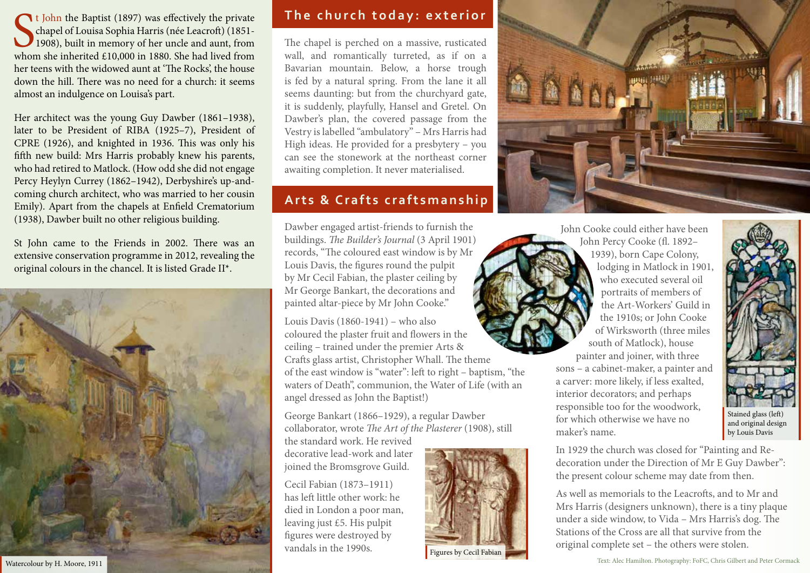t John the Baptist (1897) was effectively the private<br>chapel of Louisa Sophia Harris (née Leacroft) (1851-<br>1908), built in memory of her uncle and aunt, from<br>whom she inherited £10,000 in 1880. She had lived from chapel of Louisa Sophia Harris (née Leacroft) (1851- 1908), built in memory of her uncle and aunt, from whom she inherited £10,000 in 1880. She had lived from her teens with the widowed aunt at 'The Rocks', the house down the hill. There was no need for a church: it seems almost an indulgence on Louisa's part.

Her architect was the young Guy Dawber (1861–1938), later to be President of RIBA (1925–7), President of CPRE (1926), and knighted in 1936. This was only his fifth new build: Mrs Harris probably knew his parents, who had retired to Matlock. (How odd she did not engage Percy Heylyn Currey (1862–1942), Derbyshire's up-andcoming church architect, who was married to her cousin Emily). Apart from the chapels at Enfield Crematorium (1938), Dawber built no other religious building.

St John came to the Friends in 2002. There was an extensive conservation programme in 2012, revealing the original colours in the chancel. It is listed Grade II\*.



## **The church today: exterior**

The chapel is perched on a massive, rusticated wall, and romantically turreted, as if on a Bavarian mountain. Below, a horse trough is fed by a natural spring. From the lane it all seems daunting: but from the churchyard gate, it is suddenly, playfully, Hansel and Gretel. On Dawber's plan, the covered passage from the Vestry is labelled "ambulatory" – Mrs Harris had High ideas. He provided for a presbytery – you can see the stonework at the northeast corner awaiting completion. It never materialised.

# **Arts & Crafts craftsmanship**

Dawber engaged artist-friends to furnish the buildings. *The Builder's Journal* (3 April 1901) records, "The coloured east window is by Mr Louis Davis, the figures round the pulpit by Mr Cecil Fabian, the plaster ceiling by Mr George Bankart, the decorations and painted altar-piece by Mr John Cooke."

Louis Davis (1860-1941) – who also coloured the plaster fruit and flowers in the ceiling – trained under the premier Arts & Crafts glass artist, Christopher Whall. The theme of the east window is "water": left to right – baptism, "the waters of Death", communion, the Water of Life (with an angel dressed as John the Baptist!)

George Bankart (1866–1929), a regular Dawber collaborator, wrote *The Art of the Plasterer* (1908), still

the standard work. He revived decorative lead-work and later joined the Bromsgrove Guild.

Cecil Fabian (1873–1911) has left little other work: he died in London a poor man, leaving just £5. His pulpit figures were destroyed by vandals in the 1990s.



Figures by Cecil Fabian



John Cooke could either have been John Percy Cooke (fl. 1892– 1939), born Cape Colony, lodging in Matlock in 1901, who executed several oil portraits of members of the Art-Workers' Guild in the 1910s; or John Cooke of Wirksworth (three miles south of Matlock), house painter and joiner, with three

sons – a cabinet-maker, a painter and a carver: more likely, if less exalted, interior decorators; and perhaps responsible too for the woodwork, for which otherwise we have no maker's name.



Stained glass (left) and original design by Louis Davis

In 1929 the church was closed for "Painting and Redecoration under the Direction of Mr E Guy Dawber": the present colour scheme may date from then.

As well as memorials to the Leacrofts, and to Mr and Mrs Harris (designers unknown), there is a tiny plaque under a side window, to Vida – Mrs Harris's dog. The Stations of the Cross are all that survive from the original complete set – the others were stolen.